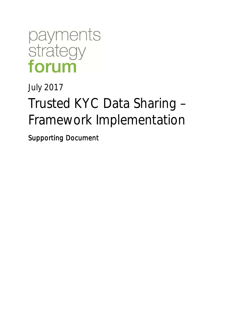

July 2017

# Trusted KYC Data Sharing – Framework Implementation

Supporting Document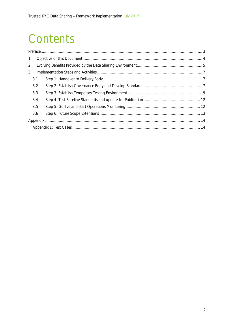## Contents

| $\mathbf{1}$   |  |  |  |  |  |
|----------------|--|--|--|--|--|
| $\overline{2}$ |  |  |  |  |  |
| 3              |  |  |  |  |  |
| 3.1            |  |  |  |  |  |
| 3.2            |  |  |  |  |  |
| 3.3            |  |  |  |  |  |
| 3.4            |  |  |  |  |  |
| 3.5            |  |  |  |  |  |
| 3.6            |  |  |  |  |  |
|                |  |  |  |  |  |
|                |  |  |  |  |  |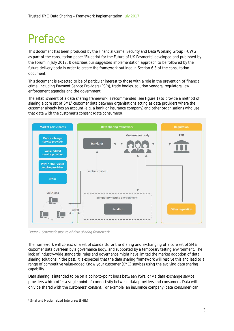## Preface

This document has been produced by the Financial Crime, Security and Data Working Group (FCWG) as part of the consultation paper 'Blueprint for the Future of UK Payments' developed and published by the Forum in July 2017. It describes our suggested implementation approach to be followed by the future delivery body in order to create the framework outlined in Section 6.3 of the consultation document.

This document is expected to be of particular interest to those with a role in the prevention of financial crime, including Payment Service Providers (PSPs), trade bodies, solution vendors, regulators, law enforcement agencies and the government.

The establishment of a data sharing framework is recommended (see Figure 1) to provide a method of sharing a core set of SME<sup>1</sup> customer data between organisations acting as data providers where the customer already has an account (e.g. a bank or insurance company) and other organisations who use that data with the customer's consent (data consumers).



Figure 1 Schematic picture of data sharing framework

The framework will consist of a set of standards for the sharing and exchanging of a core set of SME customer data overseen by a governance body, and supported by a temporary testing environment. The lack of industry-wide standards, rules and governance might have limited the market adoption of data sharing solutions in the past. It is expected that the data sharing framework will resolve this and lead to a range of competitive value-added Know your customer (KYC) services using the evolving data sharing capability.

Data sharing is intended to be on a point-to-point basis between PSPs, or via data exchange service providers which offer a single point of connectivity between data providers and consumers. Data will only be shared with the customers' consent. For example, an insurance company (data consumer) can

<sup>1</sup> Small and Medium sized Enterprises (SMEs)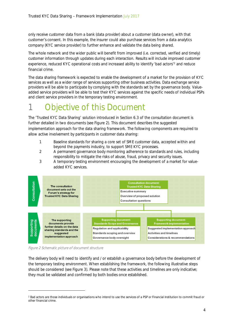only receive customer data from a bank (data provider) about a customer (data owner), with that customer's consent. In this example, the insurer could also purchase services from a data analytics company (KYC service provider) to further enhance and validate the data being shared.

The whole network and the wider public will benefit from improved (i.e. corrected, verified and timely) customer information through updates during each interaction. Results will include improved customer experience, reduced KYC operational costs and increased ability to identify 'bad actors'<sup>2</sup> and reduce financial crime.

The data sharing framework is expected to enable the development of a market for the provision of KYC services as well as a wider range of services supporting other business activities. Data exchange service providers will be able to participate by complying with the standards set by the governance body. Valueadded service providers will be able to test their KYC services against the specific needs of individual PSPs and client service providers in the temporary testing environment.

## Objective of this Document

The 'Trusted KYC Data Sharing' solution introduced in Section 6.3 of the consultation document is further detailed in two documents (see Figure 2). This document describes the suggested implementation approach for the data sharing framework. The following components are required to allow active involvement by participants in customer data sharing:

- 1 Baseline standards for sharing a core set of SME customer data, accepted within and beyond the payments industry, to support SME KYC processes.
- 2 A permanent governance body monitoring adherence to standards and rules, including responsibility to mitigate the risks of abuse, fraud, privacy and security issues.
- 3 A temporary testing environment encouraging the development of a market for valueadded KYC services.



Figure 2 Schematic picture of document structure

The delivery body will need to identify and / or establish a governance body before the development of the temporary testing environment. When establishing the framework, the following illustrative steps should be considered (see Figure 3). Please note that these activities and timelines are only indicative; they must be validated and confirmed by both bodies once established.

<sup>&</sup>lt;sup>2</sup> Bad actors are those individuals or organisations who intend to use the services of a PSP or Financial Institution to commit fraud or other financial crime.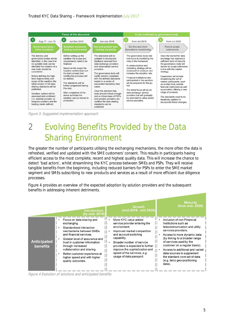

Figure 3: Suggested implementation approach

## 2 Evolving Benefits Provided by the Data Sharing Environment

The greater the number of participants utilising the exchanging mechanisms, the more often the data is refreshed, verified and updated with the SME customers' consent. This results in participants having efficient access to the most complete, recent and highest quality data. This will increase the chance to detect 'bad actors', whilst streamlining the KYC process between SMEs and PSPs. They will receive tangible benefits from the beginning, including reduced barriers for PSPs to enter the SME market segment and SMEs subscribing to new products and services as a result of more efficient due diligence processes.

Figure 4 provides an overview of the expected adoption by solution providers and the subsequent benefits in addressing inherent detriments.

|                                       | <b>Introduction</b>                                                                                                                                                                                                                                                                                                                    | <b>Growth</b>                                                                                                                                                                                                                                                                                                 | <b>Maturity</b>                                                                                                                                                                                                                                                                                                                                                                    |
|---------------------------------------|----------------------------------------------------------------------------------------------------------------------------------------------------------------------------------------------------------------------------------------------------------------------------------------------------------------------------------------|---------------------------------------------------------------------------------------------------------------------------------------------------------------------------------------------------------------------------------------------------------------------------------------------------------------|------------------------------------------------------------------------------------------------------------------------------------------------------------------------------------------------------------------------------------------------------------------------------------------------------------------------------------------------------------------------------------|
|                                       | (by mid- 2019)                                                                                                                                                                                                                                                                                                                         | (mid-2019 - mid 2020                                                                                                                                                                                                                                                                                          | (from mid- 2020)                                                                                                                                                                                                                                                                                                                                                                   |
| <b>Anticipated</b><br><b>benefits</b> | Focus on data sharing and<br>exchanging.<br>Standardised interaction<br>mechanisms between SMEs<br>and financial services.<br>Greater level of assurance and<br>trust in customer information<br>through increased<br>collaboration and sharing.<br>Better customer experience at<br>higher speed and with higher<br>quality outcomes. | More KYC value added<br>service provider entering the<br>environment.<br>Improved market competition<br>and account switching<br>capability.<br>Broader number of service<br>providers is expected to further    <br>improve the sophistication and<br>speed of the services, e.g.<br>usage of data passport. | Inclusion of non-Financial<br>Institutions such as<br>telecommunication and utility<br>services providers.<br>Access to more dynamic data<br>(by linking to a broader range<br>of services used by the<br>customer on a regular basis).<br>Access to additional and varied<br>data sources to supplement<br>the standard core set of data<br>(e.g. telco geo-positioning<br>data). |

Figure 4 Evolution of solutions and anticipated benefits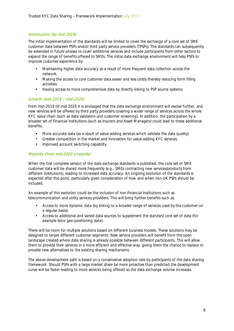#### Introduction (by mid-2019)

The initial implementation of the standards will be limited to cover the exchange of a core set of SME customer data between PSPs and/or third party service providers (TPSPs). The standards can subsequently be extended in future phases to cover additional services and include participants from other sectors to expand the range of benefits offered to SMEs. The initial data exchange environment will help PSPs to improve customer experience by:

- Maintaining higher data accuracy as a result of more frequent data collection across the network.
- Making the access to core customer data easier and less costly thereby reducing form filling ä, activities.
- $\mathbf{r}$ Having access to more comprehensive data by directly linking to PSP source systems.

#### Growth (mid-2019 – mid-2020)

From mid-2019 till mid-2020 it is envisaged that the data exchange environment will evolve further, and new services will be offered by third party providers covering a wider range of services across the whole KYC value chain (such as data validation and customer screening). In addition, the participation by a broader set of Financial Institutions (such as Insurers and Asset Managers) could lead to these additional benefits:

- More accurate data (as a result of value-adding services which validate the data quality).
- Greater competition in the market and innovation for value-adding KYC services.
- Improved account switching capability.

#### Maturity (from mid-2020 onwards)

When the first complete version of the data exchange standards is published, the core set of SME customer data will be shared more frequently (e.g., SMEs contracting new services/products from different institutions), leading to increased data accuracy. An ongoing evolution of the standards is expected after this point, particularly given consideration of how and when non-UK PSPs should be included.

An example of this evolution could be the inclusion of non-Financial Institutions such as telecommunication and utility services providers. This will bring further benefits such as:

- Access to more dynamic data (by linking to a broader range of services used by the customer on  $\mathcal{L}^{\text{max}}$ a regular basis).
- Access to additional and varied data sources to supplement the standard core set of data (for example telco geo-positioning data).

There will be room for multiple solutions based on different business models. These solutions may be designed to target different customer segments. New service providers will benefit from the open landscape created where data sharing is already possible between different participants. This will allow them to provide their services in a more efficient and effective way, giving them the chance to replace or provide new alternatives to the existing sharing mechanisms.

The above development path is based on a conservative adoption rate by participants of the data sharing framework. Should PSPs with a large market share be more proactive than predicted the development curve will be faster leading to more services being offered as the data exchange volume increases.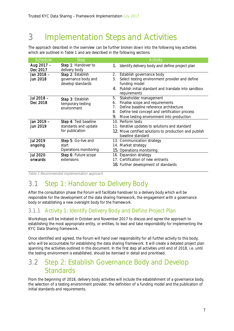## 3 Implementation Steps and Activities

The approach described in the overview can be further broken down into the following key activities which are outlined in Table 1 and are described in the following sections.

| Schedule               | <b>Step</b>                              | Activity                                                                                |
|------------------------|------------------------------------------|-----------------------------------------------------------------------------------------|
| Aug 2017 -<br>Dec 2017 | Step 1: Handover to<br>delivery body     | Identify delivery body and define project plan<br>1.                                    |
| Jan 2018 -<br>Jun 2018 | Step 2: Establish<br>governance body and | 2.<br>Establish governance body<br>Select testing environment provider and define<br>3. |
|                        | develop standards                        | funding model                                                                           |
|                        |                                          | Publish initial standard and translate into sandbox<br>4<br>requirements                |
| Jul 2018 -             | Step 3: Establish                        | Stakeholder management<br>5.                                                            |
| Dec 2018               | temporary testing                        | Finalise scope and requirements<br>6.                                                   |
|                        | environment                              | Define baseline reference architecture<br>$7_{\scriptscriptstyle{\circ}}$               |
|                        |                                          | Define test concept and certification process<br>8.                                     |
|                        |                                          | 9.<br>Move testing environment into production                                          |
| Jan 2019 -             | Step 4: Test baseline                    | 10. Perform tests                                                                       |
| Jun 2019               | standards and update                     | 11. Iterative updates to solutions and standard                                         |
|                        | for publication                          | 12. Move certified solutions to production and publish                                  |
|                        |                                          | baseline standard                                                                       |
| <b>Jul 2019</b>        | Step 5: Go-live and                      | 13. Communication strategy                                                              |
| ongoing                | start                                    | 14. Market strategy                                                                     |
|                        | Operations monitoring                    | 15. Operations monitoring                                                               |
| <b>Jul 2020</b>        | Step 6: Future scope                     | 16. Expansion strategy                                                                  |
| onwards                | extensions                               | 17. Certification of new entrants                                                       |
|                        |                                          | 18. Further development of standards                                                    |

Table 1 Recommended implementation approach.

## 3.1 Step 1: Handover to Delivery Body

After the consultation phase the Forum will facilitate handover to a delivery body which will be responsible for the development of the data sharing framework, the engagement with a governance body or establishing a new oversight body for the framework.

#### 3.1.1 Activity 1: Identify Delivery Body and Define Project Plan

Workshops will be initiated in October and November 2017 to discuss and agree the approach to establishing the most appropriate entity, or entities, to lead and take responsibility for implementing the KYC Data Sharing framework.

Once identified and agreed, the Forum will hand over responsibility for all further activity to this body, who will be accountable for establishing the data sharing framework. It will create a detailed project plan spanning the activities outlined in this document. In the first step all activities until end of 2018, i.e. until the testing environment is established, should be itemised in detail and prioritised.

### 3.2 Step 2: Establish Governance Body and Develop **Standards**

From the beginning of 2018, delivery body activities will include the establishment of a governance body, the selection of a testing environment provider, the definition of a funding model and the publication of initial standards and requirements.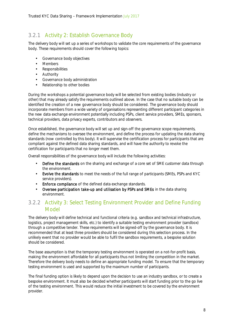#### 3.2.1 Activity 2: Establish Governance Body

The delivery body will set up a series of workshops to validate the core requirements of the governance body. These requirements should cover the following topics:

- Governance body objectives
- Members
- Responsibilities ÷.
- Authority
- Governance body administration  $\mathcal{L}^{\mathcal{L}}$
- Relationship to other bodies

During the workshops a potential governance body will be selected from existing bodies (industry or other) that may already satisfy the requirements outlined above. In the case that no suitable body can be identified the creation of a new governance body should be considered. The governance body should incorporate members from a wide variety of organisations representing different participant categories in the new data exchange environment potentially including PSPs, client service providers, SMEs, sponsors, technical providers, data privacy experts, contributors and observers.

Once established, the governance body will set up and sign-off the governance scope requirements, define the mechanisms to oversee the environment, and define the process for updating the data sharing standards (now controlled by this body). It will supervise the certification process for participants that are compliant against the defined data sharing standards, and will have the authority to revoke the certification for participants that no longer meet them.

Overall responsibilities of the governance body will include the following activities:

- Define the standards on the sharing and exchange of a core set of SME customer data through the environment.
- $\mathbf{r}$ Evolve the standards to meet the needs of the full range of participants (SMEs, PSPs and KYC service providers).
- Enforce compliance of the defined data exchange standards.  $\overline{a}$
- Oversee participation take-up and utilisation by PSPs and SMEs in the data sharing environment.

#### 3.2.2 Activity 3: Select Testing Environment Provider and Define Funding Model

The delivery body will define technical and functional criteria (e.g. sandbox and technical infrastructure, logistics, project management skills, etc.) to identify a suitable testing environment provider (sandbox) through a competitive tender. These requirements will be signed-off by the governance body. It is recommended that at least three providers should be considered during this selection process. In the unlikely event that no provider would be able to fulfil the sandbox requirements, a bespoke solution should be considered.

The base assumption is that the temporary testing environment is operated on a not-for-profit basis, making the environment affordable for all participants thus not limiting the competition in the market. Therefore the delivery body needs to define an appropriate funding model. To ensure that the temporary testing environment is used and supported by the maximum number of participants.

The final funding option is likely to depend upon the decision to use an industry sandbox, or to create a bespoke environment. It must also be decided whether participants will start funding prior to the go live of the testing environment. This would reduce the initial investment to be covered by the environment provider.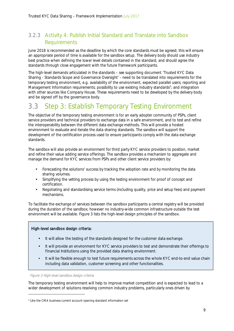#### 3.2.3 Activity 4: Publish Initial Standard and Translate into Sandbox Requirements

June 2018 is recommended as the deadline by which the core standards must be agreed; this will ensure an appropriate period of time is available for the sandbox setup. The delivery body should use industry best practice when defining the lower level details contained in the standard, and should agree the standards through close engagement with the future framework participants.

The high-level demands articulated in the standards – see supporting document 'Trusted KYC Data Sharing - Standards Scope and Governance Oversight' - need to be translated into requirements for the temporary testing environment, e.g. availability of the environment, expected parallel users; reporting and Management Information requirements; possibility to use existing industry standards<sup>3</sup>; and integration with other sources like Company House. These requirements need to be developed by the delivery body and be signed off by the governance body.

### 3.3 Step 3: Establish Temporary Testing Environment

The objective of the temporary testing environment is for an early adopter community of PSPs, client service providers and technical providers to exchange data in a safe environment, and to test and refine the interoperability between the different data exchange methods. This will provide a hosted environment to evaluate and iterate the data sharing standards. The sandbox will support the development of the certification process used to ensure participants comply with the data exchange standards.

The sandbox will also provide an environment for third party KYC service providers to position, market and refine their value adding service offerings. The sandbox provides a mechanism to aggregate and manage the demand for KYC services from PSPs and other client service providers by:

- Forecasting the solutions' success by tracking the adoption rate and by monitoring the data sharing volumes.
- Simplifying the vetting process by using the testing environment for proof of concept and  $\mathbf{r}$  . certification.
- Negotiating and standardising service terms (including quality, price and setup fees) and payment mechanisms.

To facilitate the exchange of services between the sandbox participants a central registry will be provided during the duration of the sandbox; however no industry-wide common infrastructure outside the test environment will be available. Figure 3 lists the high-level design principles of the sandbox.

#### High-level sandbox design criteria:

- It will allow the testing of the standards designed for the customer data exchange.
- It will provide an environment for KYC service providers to test and demonstrate their offerings to Financial Institutions using the provided data sharing environment.
- It will be flexible enough to test future requirements across the whole KYC end-to-end value chain including data validation, customer screening and other functionalities.

Figure 3 High-level sandbox design criteria

The temporary testing environment will help to improve market competition and is expected to lead to a wider development of solutions resolving common industry problems, particularly ones driven by

<sup>3</sup> Like the CMA business current account opening standard information set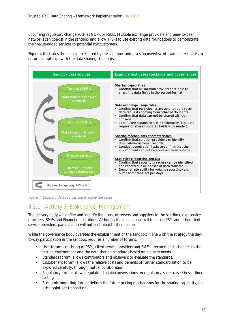upcoming regulatory change such as GDPR or PSD2. Multiple exchange providers and peer-to-peer networks can coexist in the sandbox and allow TPSPs to use existing data foundations to demonstrate their value-added services to potential PSP customers.

Figure 4 illustrates the data sources used by the sandbox, and gives an overview of example test cases to ensure compliance with the data sharing standards.



Figure 4: Sandbox: data sources and example test cases

#### 3.3.1 Activity 5: Stakeholder Management

The delivery body will define and identify the users, observers and suppliers to the sandbox, e.g. service providers, SMEs and Financial Institutions. Although the initial phase will focus on PSPs and other client service providers, participation will not be limited to them alone.

While the governance body oversees the establishment of the sandbox in line with the strategy the dayto-day participation in the sandbox requires a number of forums:

- User forum: consisting of PSPs, client service providers and SMEs recommends changes to the testing environment and the data sharing standards based on industry needs.
- Standards forum: allows contributors and observers to evaluate the standards.
- Cost/benefit forum: allows the relative costs and benefits of further standardisation to be explored carefully, through mutual collaboration.
- Regulatory forum: allows regulators to join conversations on regulatory issues raised in sandbox testing.
- Economic modelling forum: defines the future pricing mechanisms for the sharing capability, e.g. price point per transaction.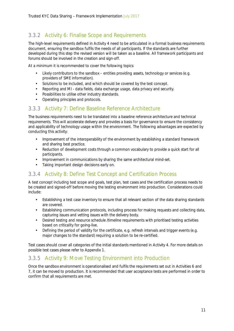#### 3.3.2 Activity 6: Finalise Scope and Requirements

The high-level requirements defined in Activity 4 need to be articulated in a formal business requirements document, ensuring the sandbox fulfils the needs of all participants. If the standards are further developed during this step the revised version will be taken as a baseline. All framework participants and forums should be involved in the creation and sign-off.

At a minimum it is recommended to cover the following topics:

- Likely contributors to the sandbox entities providing assets, technology or services (e.g.  $\ddot{\phantom{a}}$ providers of SME information).
- $\overline{a}$ Solutions to be included, and which should be covered by the test concept.
- Reporting and MI data fields, data exchange usage, data privacy and security.
- Possibilities to utilise other industry standards.
- Operating principles and protocols.

#### 3.3.3 Activity 7: Define Baseline Reference Architecture

The business requirements need to be translated into a baseline reference architecture and technical requirements. This will accelerate delivery and provides a basis for governance to ensure the consistency and applicability of technology usage within the environment. The following advantages are expected by conducting this activity:

- Improvement of the interoperability of the environment by establishing a standard framework and sharing best practice.
- Reduction of development costs through a common vocabulary to provide a quick start for all l. participants.
- Improvement in communications by sharing the same architectural mind-set.  $\overline{a}$
- Taking important design decisions early on.

#### 3.3.4 Activity 8: Define Test Concept and Certification Process

A test concept including test scope and goals, test plan, test cases and the certification process needs to be created and signed-off before moving the testing environment into production. Considerations could include:

- Establishing a test case inventory to ensure that all relevant section of the data sharing standards are covered.
- Establishing communication protocols, including process for making requests and collecting data,  $\overline{a}$ capturing issues and vetting issues with the delivery body.
- Desired testing and resource schedule /timeline requirements with prioritised testing activities  $\ddot{\phantom{a}}$ based on criticality for going-live.
- Defining the period of validity for the certificate, e.g. refresh intervals and trigger events (e.g. J. major changes to the standard) requiring a solution to be re-certified.

Test cases should cover all categories of the initial standards mentioned in Activity 4. For more details on possible test cases please refer to Appendix 1.

#### 3.3.5 Activity 9: Move Testing Environment into Production

Once the sandbox environment is operationalised and fulfils the requirements set out in Activities 6 and 7, it can be moved to production. It is recommended that user acceptance tests are performed in order to confirm that all requirements are met.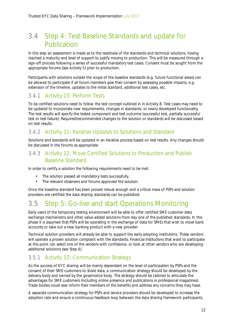## 3.4 Step 4: Test Baseline Standards and update for Publication

In this step an assessment is made as to the readiness of the standards and technical solutions, having reached a maturity and level of support to justify moving to production. This will be measured through a sign-off process following a series of successful mandatory test cases. Consent must be sought from the appropriate forums (see Activity 5) prior to production.

Participants with solutions outside the scope of the baseline standards (e.g. future functional areas) can be allowed to participate if all forum members give their consent by assessing possible impacts, e.g. extension of the timeline, updates to the initial standard, additional test cases, etc.

#### 3.4.1 Activity 10: Perform Tests

To be certified solutions need to follow the test concept outlined in in Activity 8. Test cases may need to be updated to incorporate new requirements, changes in standards, or newly developed functionality. The test results will specify the tested component and test outcome (successful test, partially successful test or test failure). Required/recommended changes to the solution or standards will be discussed based on test results.

#### 3.4.2 Activity 11: Iterative Updates to Solutions and Standard

Solutions and standards will be updated in an iterative process based on test results. Any changes should be discussed in the forums as appropriate.

#### 3.4.3 Activity 12: Move Certified Solutions to Production and Publish Baseline Standard

In order to certify a solution the following requirements need to be met:

- The solution passed all mandatory tests successfully. J.
- The relevant observers and forums approved the solution.

Once the baseline standard has been proved robust enough and a critical mass of PSPs and solution providers are certified the data sharing standards can be published.

### 3.5 Step 5: Go-live and start Operations Monitoring

Early users of the temporary testing environment will be able to offer certified SME customer data exchange mechanisms and other value-added solutions from day one of the published standards. In this phase it is assumed that PSPs will be operating in the exchange of data for SMEs that wish to move bank accounts or take out a new banking product with a new provider.

Technical solution providers will already be able to support the early adopting institutions. These vendors will operate a proven solution compliant with the standards. Financial Institutions that want to participate at this point can select one of the vendors with confidence, or look at other vendors who are developing additional solutions (see Step 6).

#### 3.5.1 Activity 13: Communication Strategy

As the success of KYC sharing will be mainly dependent on the level of participation by PSPs and the consent of their SME customers to share data, a communication strategy should be developed by the delivery body and owned by the governance body. The strategy should be tailored to articulate the advantages for SME customers (including online presence and publications in professional magazines). Trade bodies could also inform their members of the benefits and address any concerns they may have.

A separate communication strategy for PSPs and service providers should be developed to increase the adoption rate and ensure a continuous feedback loop between the data sharing framework participants.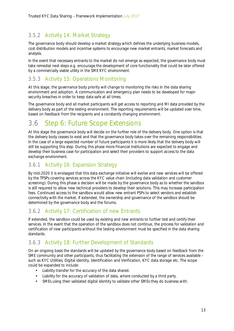#### 3.5.2 Activity 14: Market Strategy

The governance body should develop a market strategy which defines the underlying business models, cost distribution models and incentive systems to encourage new market entrants, market forecasts and analysis.

In the event that necessary entrants to the market do not emerge as expected, the governance body must take remedial next steps e.g. encourage the development of core functionality that could be later offered by a commercially viable utility in the SME KYC environment.

#### 3.5.3 Activity 15: Operations Monitoring

At this stage, the governance body priority will change to monitoring the risks in the data sharing environment and adoption. A communication and emergency plan needs to be developed for major security breaches in order to keep data safe at all times.

The governance body and all market participants will get access to reporting and MI data provided by the delivery body as part of the testing environment. The reporting requirements will be updated over time, based on feedback from the recipients and a constantly changing environment.

## 3.6 Step 6: Future Scope Extensions

At this stage the governance body will decide on the further role of the delivery body. One option is that the delivery body ceases to exist and that the governance body takes over the remaining responsibilities. In the case of a large expected number of future participants it is more likely that the delivery body will still be supporting this step. During this phase more Financial Institutions are expected to engage and develop their business case for participation and select their providers to support access to the data exchange environment.

#### 3.6.1 Activity 16: Expansion Strategy

By mid-2020 it is envisaged that this data exchange initiative will evolve and new services will be offered by the TPSPs covering services across the KYC value chain (including data validation and customer screening). During this phase a decision will be made by the governance body as to whether the sandbox is still required to allow new technical providers to develop their solutions. This may increase participation fees. Continued access to the sandbox would allow new entrant PSPs to select vendors and establish connectivity with the market. If extended, the ownership and governance of the sandbox should be determined by the governance body and the forums.

#### 3.6.2 Activity 17: Certification of new Entrants

If extended, the sandbox could be used by existing and new entrants to further test and certify their services. In the event that the operation of the sandbox does not continue, the process for validation and certification of new participants without the testing environment must be specified in the data sharing standards.

#### 3.6.3 Activity 18: Further Development of Standards

On an ongoing basis the standards will be updated by the governance body based on feedback from the SME community and other participants, thus facilitating the extension of the range of services available – such as KYC Utilities, Digital identity, Identification and Verification, KYC data storage etc. The scope could be expanded to include:

- Liability transfer for the accuracy of the data shared.
- Liability for the accuracy of validation of data, where conducted by a third party.
- SMEs using their validated digital identity to validate other SMEs they do business with.